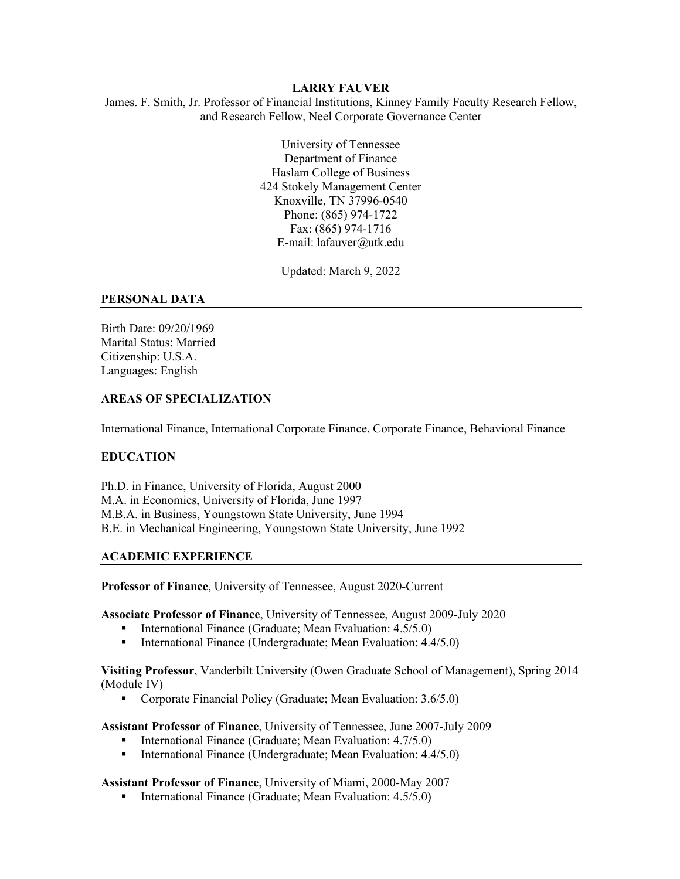#### **LARRY FAUVER**

James. F. Smith, Jr. Professor of Financial Institutions, Kinney Family Faculty Research Fellow, and Research Fellow, Neel Corporate Governance Center

> University of Tennessee Department of Finance Haslam College of Business 424 Stokely Management Center Knoxville, TN 37996-0540 Phone: (865) 974-1722 Fax: (865) 974-1716 E-mail: lafauver@utk.edu

> > Updated: March 9, 2022

#### **PERSONAL DATA**

Birth Date: 09/20/1969 Marital Status: Married Citizenship: U.S.A. Languages: English

#### **AREAS OF SPECIALIZATION**

International Finance, International Corporate Finance, Corporate Finance, Behavioral Finance

#### **EDUCATION**

Ph.D. in Finance, University of Florida, August 2000 M.A. in Economics, University of Florida, June 1997 M.B.A. in Business, Youngstown State University, June 1994 B.E. in Mechanical Engineering, Youngstown State University, June 1992

#### **ACADEMIC EXPERIENCE**

**Professor of Finance**, University of Tennessee, August 2020-Current

**Associate Professor of Finance**, University of Tennessee, August 2009-July 2020

- International Finance (Graduate; Mean Evaluation: 4.5/5.0)
- International Finance (Undergraduate; Mean Evaluation: 4.4/5.0)

**Visiting Professor**, Vanderbilt University (Owen Graduate School of Management), Spring 2014 (Module IV)

■ Corporate Financial Policy (Graduate; Mean Evaluation: 3.6/5.0)

**Assistant Professor of Finance**, University of Tennessee, June 2007-July 2009

- International Finance (Graduate; Mean Evaluation: 4.7/5.0)
- International Finance (Undergraduate; Mean Evaluation: 4.4/5.0)

#### **Assistant Professor of Finance**, University of Miami, 2000-May 2007

■ International Finance (Graduate; Mean Evaluation: 4.5/5.0)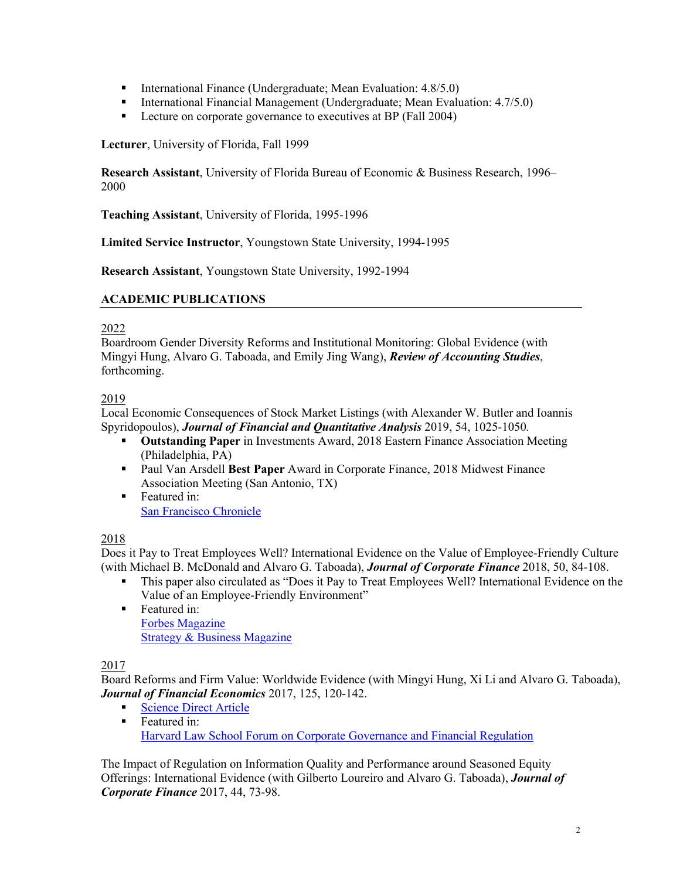- International Finance (Undergraduate; Mean Evaluation: 4.8/5.0)
- International Financial Management (Undergraduate; Mean Evaluation: 4.7/5.0)
- Lecture on corporate governance to executives at BP (Fall 2004)

**Lecturer**, University of Florida, Fall 1999

**Research Assistant**, University of Florida Bureau of Economic & Business Research, 1996– 2000

**Teaching Assistant**, University of Florida, 1995-1996

**Limited Service Instructor**, Youngstown State University, 1994-1995

**Research Assistant**, Youngstown State University, 1992-1994

## **ACADEMIC PUBLICATIONS**

### 2022

Boardroom Gender Diversity Reforms and Institutional Monitoring: Global Evidence (with Mingyi Hung, Alvaro G. Taboada, and Emily Jing Wang), *Review of Accounting Studies*, forthcoming.

## 2019

Local Economic Consequences of Stock Market Listings (with Alexander W. Butler and Ioannis Spyridopoulos), *Journal of Financial and Quantitative Analysis* 2019, 54, 1025-1050*.*

- § **Outstanding Paper** in Investments Award, 2018 Eastern Finance Association Meeting (Philadelphia, PA)
- § Paul Van Arsdell **Best Paper** Award in Corporate Finance, 2018 Midwest Finance Association Meeting (San Antonio, TX)
- Featured in: San Francisco Chronicle

# 2018

Does it Pay to Treat Employees Well? International Evidence on the Value of Employee-Friendly Culture (with Michael B. McDonald and Alvaro G. Taboada), *Journal of Corporate Finance* 2018, 50, 84-108.

- § This paper also circulated as "Does it Pay to Treat Employees Well? International Evidence on the Value of an Employee-Friendly Environment"
- Featured in: Forbes Magazine Strategy & Business Magazine

# 2017

Board Reforms and Firm Value: Worldwide Evidence (with Mingyi Hung, Xi Li and Alvaro G. Taboada), *Journal of Financial Economics* 2017, 125, 120-142.

- Science Direct Article
- Featured in: Harvard Law School Forum on Corporate Governance and Financial Regulation

The Impact of Regulation on Information Quality and Performance around Seasoned Equity Offerings: International Evidence (with Gilberto Loureiro and Alvaro G. Taboada), *Journal of Corporate Finance* 2017, 44, 73-98.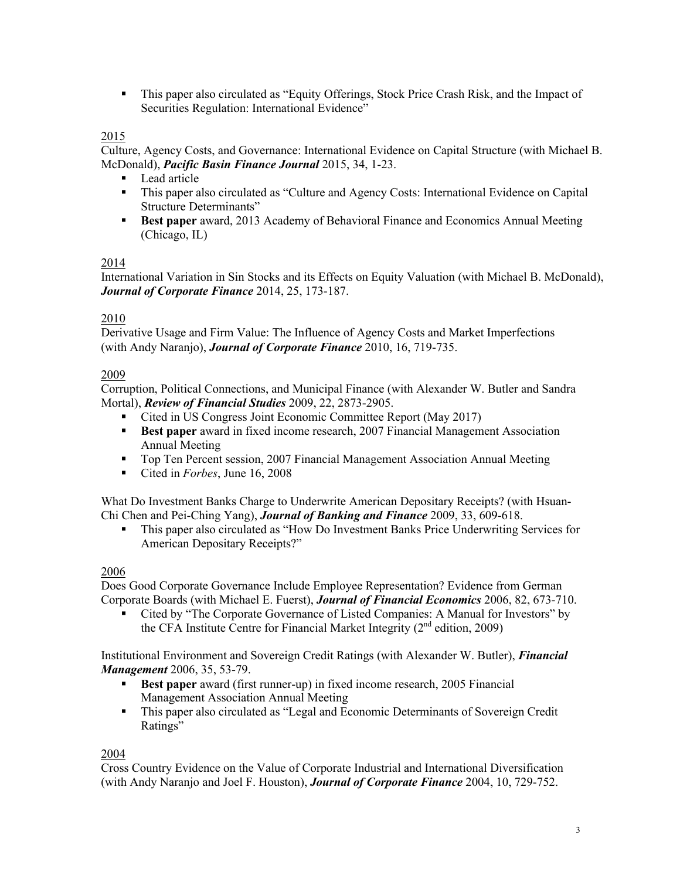• This paper also circulated as "Equity Offerings, Stock Price Crash Risk, and the Impact of Securities Regulation: International Evidence"

# 2015

Culture, Agency Costs, and Governance: International Evidence on Capital Structure (with Michael B. McDonald), *Pacific Basin Finance Journal* 2015, 34, 1-23.

- Lead article
- This paper also circulated as "Culture and Agency Costs: International Evidence on Capital Structure Determinants"
- **Best paper** award, 2013 Academy of Behavioral Finance and Economics Annual Meeting (Chicago, IL)

## 2014

International Variation in Sin Stocks and its Effects on Equity Valuation (with Michael B. McDonald), *Journal of Corporate Finance* 2014, 25, 173-187.

## 2010

Derivative Usage and Firm Value: The Influence of Agency Costs and Market Imperfections (with Andy Naranjo), *Journal of Corporate Finance* 2010, 16, 719-735.

## 2009

Corruption, Political Connections, and Municipal Finance (with Alexander W. Butler and Sandra Mortal), *Review of Financial Studies* 2009, 22, 2873-2905.

- Cited in US Congress Joint Economic Committee Report (May 2017)
- **Best paper** award in fixed income research, 2007 Financial Management Association Annual Meeting
- Top Ten Percent session, 2007 Financial Management Association Annual Meeting
- Cited in *Forbes*, June 16, 2008

What Do Investment Banks Charge to Underwrite American Depositary Receipts? (with Hsuan-Chi Chen and Pei-Ching Yang), *Journal of Banking and Finance* 2009, 33, 609-618.

§ This paper also circulated as "How Do Investment Banks Price Underwriting Services for American Depositary Receipts?"

# 2006

Does Good Corporate Governance Include Employee Representation? Evidence from German Corporate Boards (with Michael E. Fuerst), *Journal of Financial Economics* 2006, 82, 673-710.

■ Cited by "The Corporate Governance of Listed Companies: A Manual for Investors" by the CFA Institute Centre for Financial Market Integrity  $(2<sup>nd</sup>$  edition, 2009)

Institutional Environment and Sovereign Credit Ratings (with Alexander W. Butler), *Financial Management* 2006, 35, 53-79.

- **Best paper** award (first runner-up) in fixed income research, 2005 Financial Management Association Annual Meeting
- § This paper also circulated as "Legal and Economic Determinants of Sovereign Credit Ratings"

# 2004

Cross Country Evidence on the Value of Corporate Industrial and International Diversification (with Andy Naranjo and Joel F. Houston), *Journal of Corporate Finance* 2004, 10, 729-752.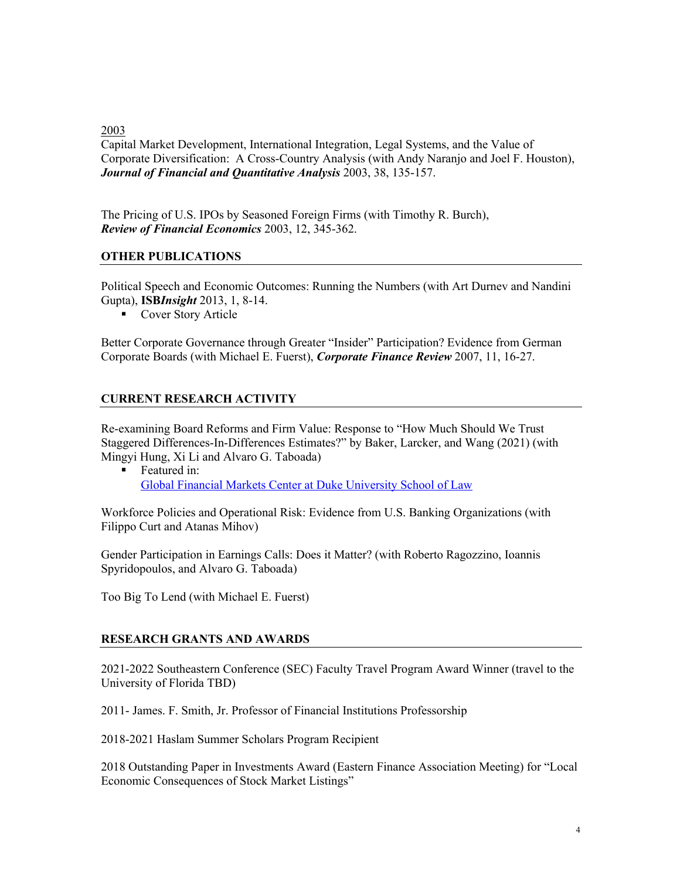2003

Capital Market Development, International Integration, Legal Systems, and the Value of Corporate Diversification: A Cross-Country Analysis (with Andy Naranjo and Joel F. Houston), *Journal of Financial and Quantitative Analysis* 2003, 38, 135-157.

The Pricing of U.S. IPOs by Seasoned Foreign Firms (with Timothy R. Burch), *Review of Financial Economics* 2003, 12, 345-362.

### **OTHER PUBLICATIONS**

Political Speech and Economic Outcomes: Running the Numbers (with Art Durnev and Nandini Gupta), **ISB***Insight* 2013, 1, 8-14.

■ Cover Story Article

Better Corporate Governance through Greater "Insider" Participation? Evidence from German Corporate Boards (with Michael E. Fuerst), *Corporate Finance Review* 2007, 11, 16-27.

## **CURRENT RESEARCH ACTIVITY**

Re-examining Board Reforms and Firm Value: Response to "How Much Should We Trust Staggered Differences-In-Differences Estimates?" by Baker, Larcker, and Wang (2021) (with Mingyi Hung, Xi Li and Alvaro G. Taboada)

Featured in: Global Financial Markets Center at Duke University School of Law

Workforce Policies and Operational Risk: Evidence from U.S. Banking Organizations (with Filippo Curt and Atanas Mihov)

Gender Participation in Earnings Calls: Does it Matter? (with Roberto Ragozzino, Ioannis Spyridopoulos, and Alvaro G. Taboada)

Too Big To Lend (with Michael E. Fuerst)

#### **RESEARCH GRANTS AND AWARDS**

2021-2022 Southeastern Conference (SEC) Faculty Travel Program Award Winner (travel to the University of Florida TBD)

2011- James. F. Smith, Jr. Professor of Financial Institutions Professorship

2018-2021 Haslam Summer Scholars Program Recipient

2018 Outstanding Paper in Investments Award (Eastern Finance Association Meeting) for "Local Economic Consequences of Stock Market Listings"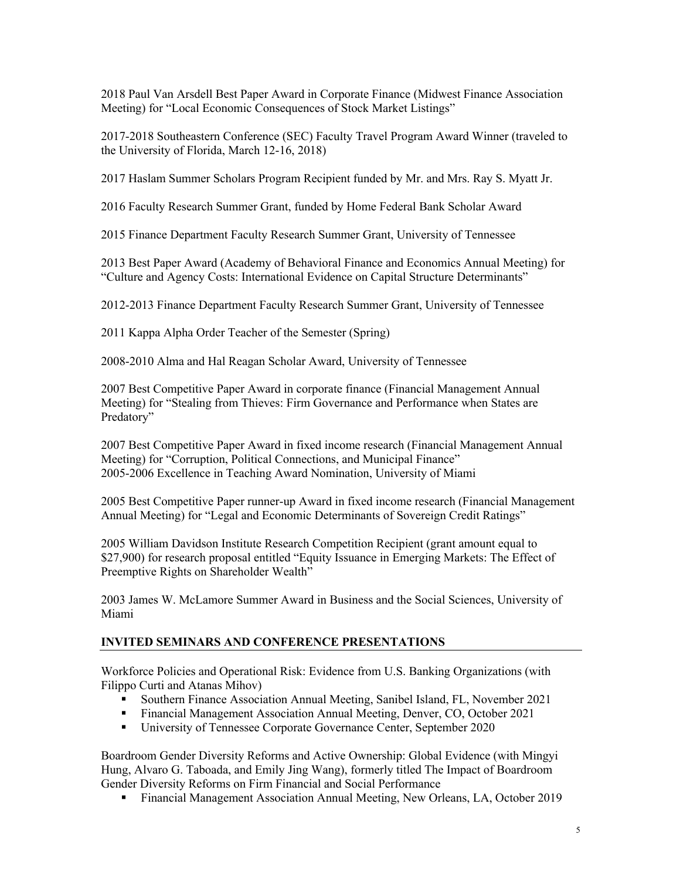2018 Paul Van Arsdell Best Paper Award in Corporate Finance (Midwest Finance Association Meeting) for "Local Economic Consequences of Stock Market Listings"

2017-2018 Southeastern Conference (SEC) Faculty Travel Program Award Winner (traveled to the University of Florida, March 12-16, 2018)

2017 Haslam Summer Scholars Program Recipient funded by Mr. and Mrs. Ray S. Myatt Jr.

2016 Faculty Research Summer Grant, funded by Home Federal Bank Scholar Award

2015 Finance Department Faculty Research Summer Grant, University of Tennessee

2013 Best Paper Award (Academy of Behavioral Finance and Economics Annual Meeting) for "Culture and Agency Costs: International Evidence on Capital Structure Determinants"

2012-2013 Finance Department Faculty Research Summer Grant, University of Tennessee

2011 Kappa Alpha Order Teacher of the Semester (Spring)

2008-2010 Alma and Hal Reagan Scholar Award, University of Tennessee

2007 Best Competitive Paper Award in corporate finance (Financial Management Annual Meeting) for "Stealing from Thieves: Firm Governance and Performance when States are Predatory"

2007 Best Competitive Paper Award in fixed income research (Financial Management Annual Meeting) for "Corruption, Political Connections, and Municipal Finance" 2005-2006 Excellence in Teaching Award Nomination, University of Miami

2005 Best Competitive Paper runner-up Award in fixed income research (Financial Management Annual Meeting) for "Legal and Economic Determinants of Sovereign Credit Ratings"

2005 William Davidson Institute Research Competition Recipient (grant amount equal to \$27,900) for research proposal entitled "Equity Issuance in Emerging Markets: The Effect of Preemptive Rights on Shareholder Wealth"

2003 James W. McLamore Summer Award in Business and the Social Sciences, University of Miami

# **INVITED SEMINARS AND CONFERENCE PRESENTATIONS**

Workforce Policies and Operational Risk: Evidence from U.S. Banking Organizations (with Filippo Curti and Atanas Mihov)

- § Southern Finance Association Annual Meeting, Sanibel Island, FL, November 2021
- Financial Management Association Annual Meeting, Denver, CO, October 2021
- University of Tennessee Corporate Governance Center, September 2020

Boardroom Gender Diversity Reforms and Active Ownership: Global Evidence (with Mingyi Hung, Alvaro G. Taboada, and Emily Jing Wang), formerly titled The Impact of Boardroom Gender Diversity Reforms on Firm Financial and Social Performance

§ Financial Management Association Annual Meeting, New Orleans, LA, October 2019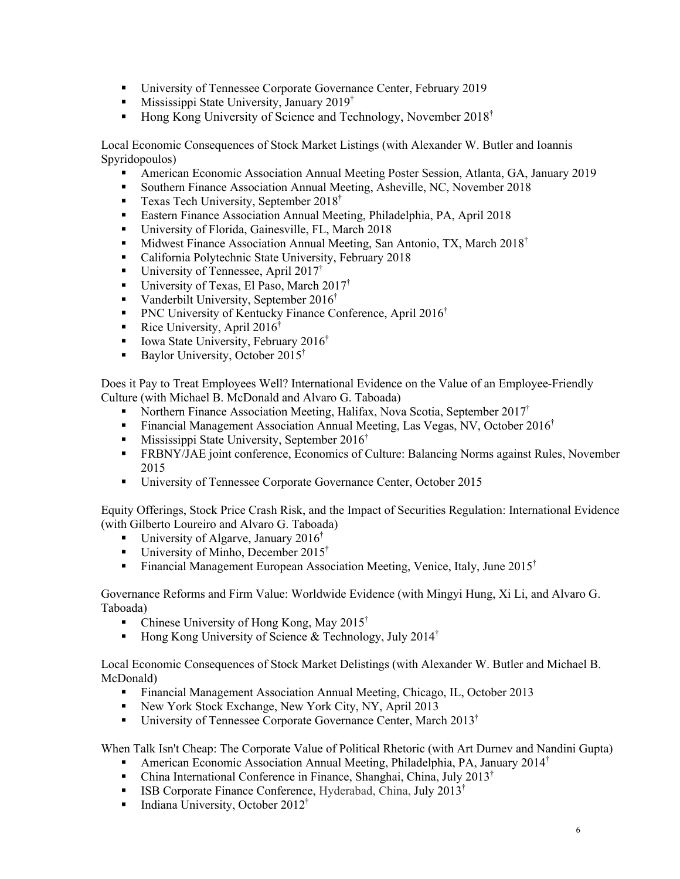- § University of Tennessee Corporate Governance Center, February 2019
- **•** Mississippi State University, January 2019<sup>†</sup>
- Hong Kong University of Science and Technology, November 2018<sup>†</sup>

Local Economic Consequences of Stock Market Listings (with Alexander W. Butler and Ioannis Spyridopoulos)

- § American Economic Association Annual Meeting Poster Session, Atlanta, GA, January 2019
- Southern Finance Association Annual Meeting, Asheville, NC, November 2018
- **•** Texas Tech University, September  $2018^{\dagger}$
- Eastern Finance Association Annual Meeting, Philadelphia, PA, April 2018
- § University of Florida, Gainesville, FL, March 2018
- Midwest Finance Association Annual Meeting, San Antonio, TX, March  $2018^{\dagger}$
- California Polytechnic State University, February 2018
- **•** University of Tennessee, April 2017<sup>†</sup>
- University of Texas, El Paso, March  $2017^{\dagger}$
- Vanderbilt University, September 2016<sup>†</sup>
- **PNC University of Kentucky Finance Conference, April 2016<sup>†</sup>**
- Rice University, April  $2016^{\dagger}$
- Iowa State University, February 2016<sup>†</sup>
- **•** Baylor University, October 2015<sup>†</sup>

Does it Pay to Treat Employees Well? International Evidence on the Value of an Employee-Friendly Culture (with Michael B. McDonald and Alvaro G. Taboada)

- Northern Finance Association Meeting, Halifax, Nova Scotia, September 2017<sup>†</sup>
- **•** Financial Management Association Annual Meeting, Las Vegas, NV, October 2016<sup>†</sup>
- **•** Mississippi State University, September 2016<sup>†</sup>
- § FRBNY/JAE joint conference, Economics of Culture: Balancing Norms against Rules, November 2015
- University of Tennessee Corporate Governance Center, October 2015

Equity Offerings, Stock Price Crash Risk, and the Impact of Securities Regulation: International Evidence (with Gilberto Loureiro and Alvaro G. Taboada)

- University of Algarve, January 2016<sup>†</sup>
- University of Minho, December 2015<sup>†</sup>
- **•** Financial Management European Association Meeting, Venice, Italy, June 2015<sup>†</sup>

Governance Reforms and Firm Value: Worldwide Evidence (with Mingyi Hung, Xi Li, and Alvaro G. Taboada)

- Chinese University of Hong Kong, May 2015<sup>†</sup>
- Hong Kong University of Science & Technology, July 2014<sup>†</sup>

Local Economic Consequences of Stock Market Delistings (with Alexander W. Butler and Michael B. McDonald)

- Financial Management Association Annual Meeting, Chicago, IL, October 2013
- New York Stock Exchange, New York City, NY, April 2013
- **•** University of Tennessee Corporate Governance Center, March  $2013^{\dagger}$

When Talk Isn't Cheap: The Corporate Value of Political Rhetoric (with Art Durnev and Nandini Gupta)

- **•** American Economic Association Annual Meeting, Philadelphia, PA, January 2014<sup>†</sup>
- China International Conference in Finance, Shanghai, China, July 2013<sup>†</sup>
- **ISB Corporate Finance Conference, Hyderabad, China, July 2013<sup>†</sup>**
- **•** Indiana University, October 2012<sup>†</sup>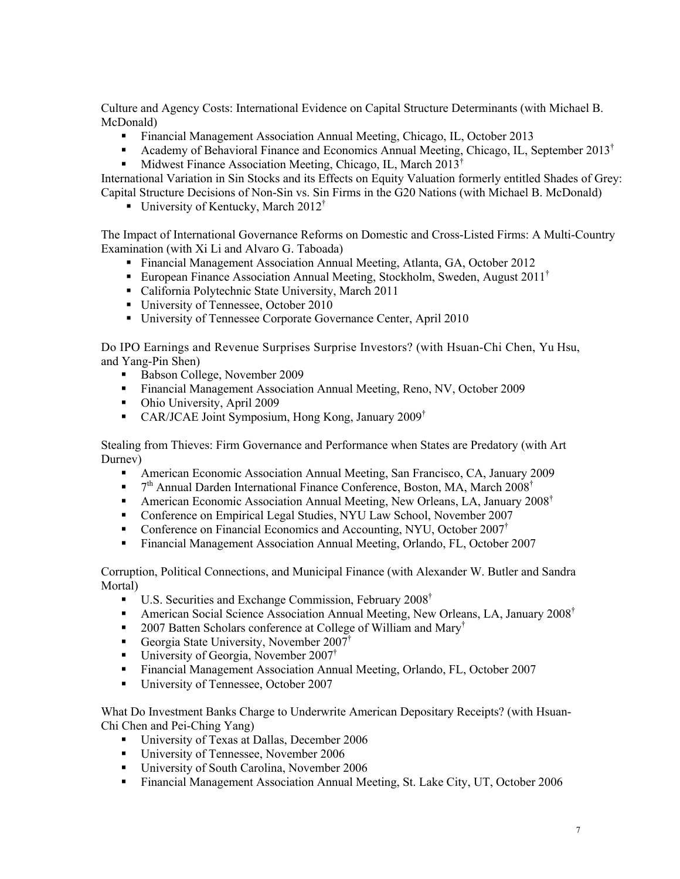Culture and Agency Costs: International Evidence on Capital Structure Determinants (with Michael B. McDonald)

- Financial Management Association Annual Meeting, Chicago, IL, October 2013
- **•** Academy of Behavioral Finance and Economics Annual Meeting, Chicago, IL, September 2013<sup>†</sup>
- § Midwest Finance Association Meeting, Chicago, IL, March 2013†

International Variation in Sin Stocks and its Effects on Equity Valuation formerly entitled Shades of Grey: Capital Structure Decisions of Non-Sin vs. Sin Firms in the G20 Nations (with Michael B. McDonald)

■ University of Kentucky, March  $2012^{\dagger}$ 

The Impact of International Governance Reforms on Domestic and Cross-Listed Firms: A Multi-Country Examination (with Xi Li and Alvaro G. Taboada)

- § Financial Management Association Annual Meeting, Atlanta, GA, October 2012
- **European Finance Association Annual Meeting, Stockholm, Sweden, August 2011**<sup>†</sup>
- California Polytechnic State University, March 2011
- University of Tennessee, October 2010
- § University of Tennessee Corporate Governance Center, April 2010

Do IPO Earnings and Revenue Surprises Surprise Investors? (with Hsuan-Chi Chen, Yu Hsu, and Yang-Pin Shen)

- Babson College, November 2009
- Financial Management Association Annual Meeting, Reno, NV, October 2009
- Ohio University, April 2009
- CAR/JCAE Joint Symposium, Hong Kong, January 2009<sup>†</sup>

Stealing from Thieves: Firm Governance and Performance when States are Predatory (with Art Durnev)

- § American Economic Association Annual Meeting, San Francisco, CA, January 2009
- $7<sup>th</sup>$  Annual Darden International Finance Conference, Boston, MA, March 2008<sup>†</sup>
- American Economic Association Annual Meeting, New Orleans, LA, January 2008<sup>†</sup>
- Conference on Empirical Legal Studies, NYU Law School, November 2007
- Conference on Financial Economics and Accounting, NYU, October 2007<sup>†</sup>
- § Financial Management Association Annual Meeting, Orlando, FL, October 2007

Corruption, Political Connections, and Municipal Finance (with Alexander W. Butler and Sandra Mortal)

- U.S. Securities and Exchange Commission, February 2008<sup>†</sup>
- American Social Science Association Annual Meeting, New Orleans, LA, January 2008<sup>†</sup>
- 2007 Batten Scholars conference at College of William and Mary<sup>†</sup>
- Georgia State University, November 2007<sup>†</sup>
- **•** University of Georgia, November 2007<sup>†</sup>
- § Financial Management Association Annual Meeting, Orlando, FL, October 2007
- University of Tennessee, October 2007

What Do Investment Banks Charge to Underwrite American Depositary Receipts? (with Hsuan-Chi Chen and Pei-Ching Yang)

- University of Texas at Dallas, December 2006
- University of Tennessee, November 2006
- University of South Carolina, November 2006
- Financial Management Association Annual Meeting, St. Lake City, UT, October 2006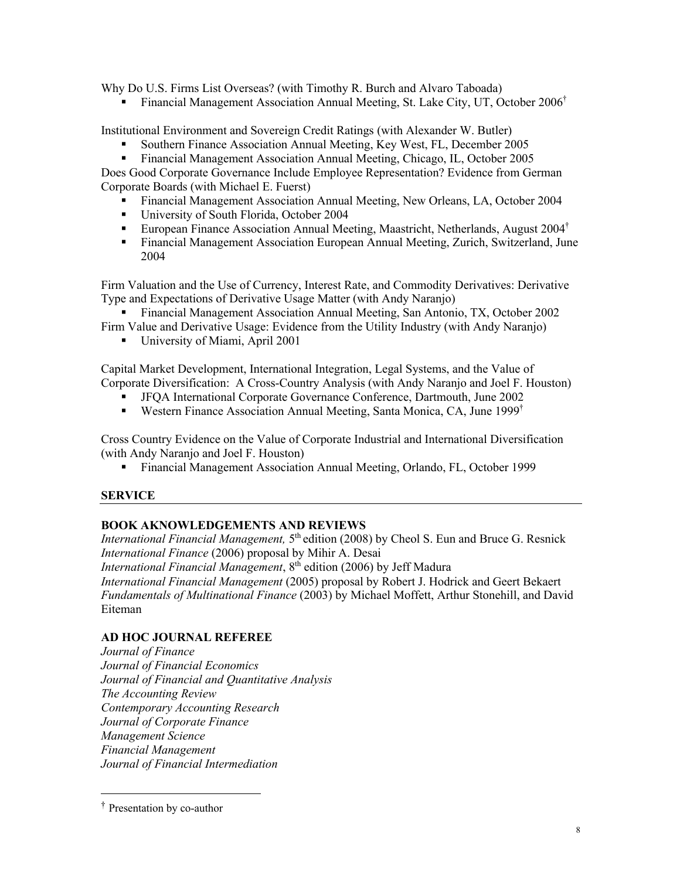Why Do U.S. Firms List Overseas? (with Timothy R. Burch and Alvaro Taboada)

• Financial Management Association Annual Meeting, St. Lake City, UT, October 2006<sup>†</sup>

Institutional Environment and Sovereign Credit Ratings (with Alexander W. Butler)

- § Southern Finance Association Annual Meeting, Key West, FL, December 2005
- § Financial Management Association Annual Meeting, Chicago, IL, October 2005

Does Good Corporate Governance Include Employee Representation? Evidence from German Corporate Boards (with Michael E. Fuerst)

- § Financial Management Association Annual Meeting, New Orleans, LA, October 2004
- University of South Florida, October 2004
- European Finance Association Annual Meeting, Maastricht, Netherlands, August 2004<sup>†</sup>
- Financial Management Association European Annual Meeting, Zurich, Switzerland, June 2004

Firm Valuation and the Use of Currency, Interest Rate, and Commodity Derivatives: Derivative Type and Expectations of Derivative Usage Matter (with Andy Naranjo)

■ Financial Management Association Annual Meeting, San Antonio, TX, October 2002

Firm Value and Derivative Usage: Evidence from the Utility Industry (with Andy Naranjo)

■ University of Miami, April 2001

Capital Market Development, International Integration, Legal Systems, and the Value of Corporate Diversification: A Cross-Country Analysis (with Andy Naranjo and Joel F. Houston)

- § JFQA International Corporate Governance Conference, Dartmouth, June 2002
- Western Finance Association Annual Meeting, Santa Monica, CA, June 1999<sup>†</sup>

Cross Country Evidence on the Value of Corporate Industrial and International Diversification (with Andy Naranjo and Joel F. Houston)

§ Financial Management Association Annual Meeting, Orlando, FL, October 1999

# **SERVICE**

# **BOOK AKNOWLEDGEMENTS AND REVIEWS**

*International Financial Management,* 5<sup>th</sup> edition (2008) by Cheol S. Eun and Bruce G. Resnick *International Finance* (2006) proposal by Mihir A. Desai

*International Financial Management*, 8<sup>th</sup> edition (2006) by Jeff Madura

*International Financial Management* (2005) proposal by Robert J. Hodrick and Geert Bekaert *Fundamentals of Multinational Finance* (2003) by Michael Moffett, Arthur Stonehill, and David Eiteman

# **AD HOC JOURNAL REFEREE**

*Journal of Finance Journal of Financial Economics Journal of Financial and Quantitative Analysis The Accounting Review Contemporary Accounting Research Journal of Corporate Finance Management Science Financial Management Journal of Financial Intermediation*

<sup>†</sup> Presentation by co-author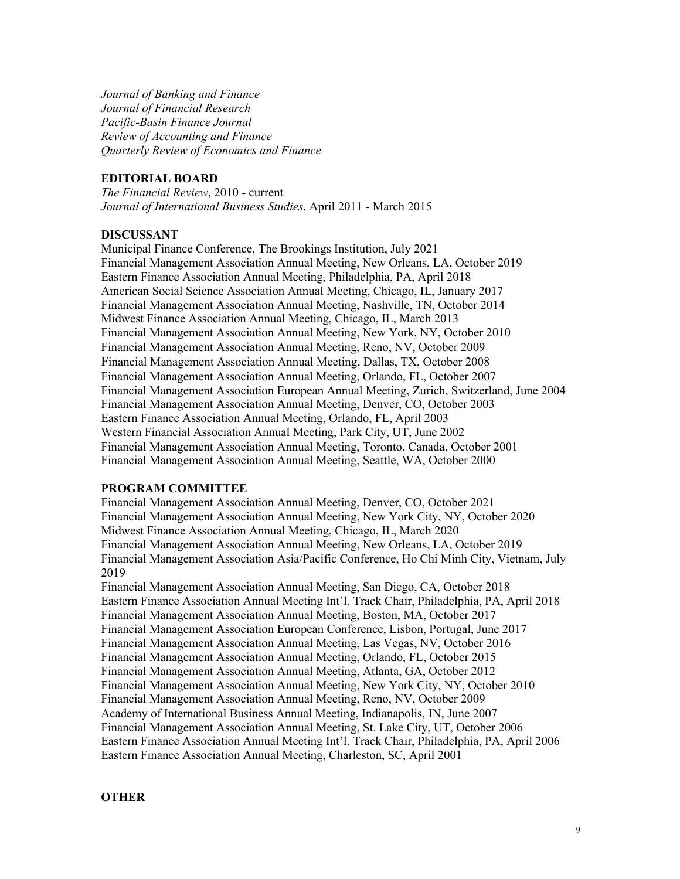*Journal of Banking and Finance Journal of Financial Research Pacific-Basin Finance Journal Review of Accounting and Finance Quarterly Review of Economics and Finance*

### **EDITORIAL BOARD**

*The Financial Review*, 2010 - current *Journal of International Business Studies*, April 2011 - March 2015

#### **DISCUSSANT**

Municipal Finance Conference, The Brookings Institution, July 2021 Financial Management Association Annual Meeting, New Orleans, LA, October 2019 Eastern Finance Association Annual Meeting, Philadelphia, PA, April 2018 American Social Science Association Annual Meeting, Chicago, IL, January 2017 Financial Management Association Annual Meeting, Nashville, TN, October 2014 Midwest Finance Association Annual Meeting, Chicago, IL, March 2013 Financial Management Association Annual Meeting, New York, NY, October 2010 Financial Management Association Annual Meeting, Reno, NV, October 2009 Financial Management Association Annual Meeting, Dallas, TX, October 2008 Financial Management Association Annual Meeting, Orlando, FL, October 2007 Financial Management Association European Annual Meeting, Zurich, Switzerland, June 2004 Financial Management Association Annual Meeting, Denver, CO, October 2003 Eastern Finance Association Annual Meeting, Orlando, FL, April 2003 Western Financial Association Annual Meeting, Park City, UT, June 2002 Financial Management Association Annual Meeting, Toronto, Canada, October 2001 Financial Management Association Annual Meeting, Seattle, WA, October 2000

### **PROGRAM COMMITTEE**

Financial Management Association Annual Meeting, Denver, CO, October 2021 Financial Management Association Annual Meeting, New York City, NY, October 2020 Midwest Finance Association Annual Meeting, Chicago, IL, March 2020 Financial Management Association Annual Meeting, New Orleans, LA, October 2019 Financial Management Association Asia/Pacific Conference, Ho Chi Minh City, Vietnam, July 2019 Financial Management Association Annual Meeting, San Diego, CA, October 2018 Eastern Finance Association Annual Meeting Int'l. Track Chair, Philadelphia, PA, April 2018 Financial Management Association Annual Meeting, Boston, MA, October 2017 Financial Management Association European Conference, Lisbon, Portugal, June 2017 Financial Management Association Annual Meeting, Las Vegas, NV, October 2016 Financial Management Association Annual Meeting, Orlando, FL, October 2015 Financial Management Association Annual Meeting, Atlanta, GA, October 2012 Financial Management Association Annual Meeting, New York City, NY, October 2010 Financial Management Association Annual Meeting, Reno, NV, October 2009 Academy of International Business Annual Meeting, Indianapolis, IN, June 2007 Financial Management Association Annual Meeting, St. Lake City, UT, October 2006 Eastern Finance Association Annual Meeting Int'l. Track Chair, Philadelphia, PA, April 2006 Eastern Finance Association Annual Meeting, Charleston, SC, April 2001

#### **OTHER**